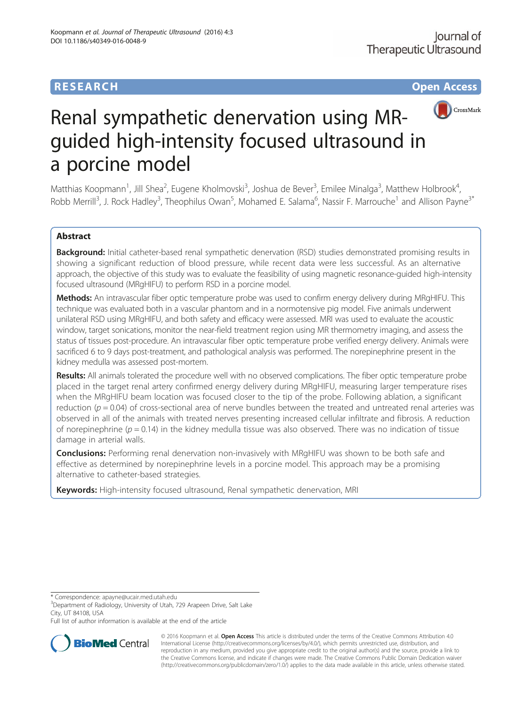# **RESEARCH RESEARCH** *CHECK CHECK CHECK CHECK CHECK CHECK CHECK CHECK CHECK CHECK CHECK CHECK CHECK CHECK CHECK CHECK CHECK CHECK CHECK CHECK CHECK CHECK CHECK CHECK CHECK CHECK CHECK CHECK CHECK CHECK CHECK CHECK CHECK*



# Renal sympathetic denervation using MRguided high-intensity focused ultrasound in a porcine model

Matthias Koopmann<sup>1</sup>, Jill Shea<sup>2</sup>, Eugene Kholmovski<sup>3</sup>, Joshua de Bever<sup>3</sup>, Emilee Minalga<sup>3</sup>, Matthew Holbrook<sup>4</sup> , Robb Merrill<sup>3</sup>, J. Rock Hadley<sup>3</sup>, Theophilus Owan<sup>5</sup>, Mohamed E. Salama<sup>6</sup>, Nassir F. Marrouche<sup>1</sup> and Allison Payne<sup>3\*</sup>

# Abstract

Background: Initial catheter-based renal sympathetic denervation (RSD) studies demonstrated promising results in showing a significant reduction of blood pressure, while recent data were less successful. As an alternative approach, the objective of this study was to evaluate the feasibility of using magnetic resonance-guided high-intensity focused ultrasound (MRgHIFU) to perform RSD in a porcine model.

Methods: An intravascular fiber optic temperature probe was used to confirm energy delivery during MRgHIFU. This technique was evaluated both in a vascular phantom and in a normotensive pig model. Five animals underwent unilateral RSD using MRgHIFU, and both safety and efficacy were assessed. MRI was used to evaluate the acoustic window, target sonications, monitor the near-field treatment region using MR thermometry imaging, and assess the status of tissues post-procedure. An intravascular fiber optic temperature probe verified energy delivery. Animals were sacrificed 6 to 9 days post-treatment, and pathological analysis was performed. The norepinephrine present in the kidney medulla was assessed post-mortem.

Results: All animals tolerated the procedure well with no observed complications. The fiber optic temperature probe placed in the target renal artery confirmed energy delivery during MRgHIFU, measuring larger temperature rises when the MRgHIFU beam location was focused closer to the tip of the probe. Following ablation, a significant reduction ( $p = 0.04$ ) of cross-sectional area of nerve bundles between the treated and untreated renal arteries was observed in all of the animals with treated nerves presenting increased cellular infiltrate and fibrosis. A reduction of norepinephrine ( $p = 0.14$ ) in the kidney medulla tissue was also observed. There was no indication of tissue damage in arterial walls.

**Conclusions:** Performing renal denervation non-invasively with MRgHIFU was shown to be both safe and effective as determined by norepinephrine levels in a porcine model. This approach may be a promising alternative to catheter-based strategies.

Keywords: High-intensity focused ultrasound, Renal sympathetic denervation, MRI

\* Correspondence: [apayne@ucair.med.utah.edu](mailto:apayne@ucair.med.utah.edu) <sup>3</sup>

<sup>3</sup>Department of Radiology, University of Utah, 729 Arapeen Drive, Salt Lake City, UT 84108, USA

Full list of author information is available at the end of the article



© 2016 Koopmann et al. Open Access This article is distributed under the terms of the Creative Commons Attribution 4.0 International License [\(http://creativecommons.org/licenses/by/4.0/](http://creativecommons.org/licenses/by/4.0/)), which permits unrestricted use, distribution, and reproduction in any medium, provided you give appropriate credit to the original author(s) and the source, provide a link to the Creative Commons license, and indicate if changes were made. The Creative Commons Public Domain Dedication waiver [\(http://creativecommons.org/publicdomain/zero/1.0/](http://creativecommons.org/publicdomain/zero/1.0/)) applies to the data made available in this article, unless otherwise stated.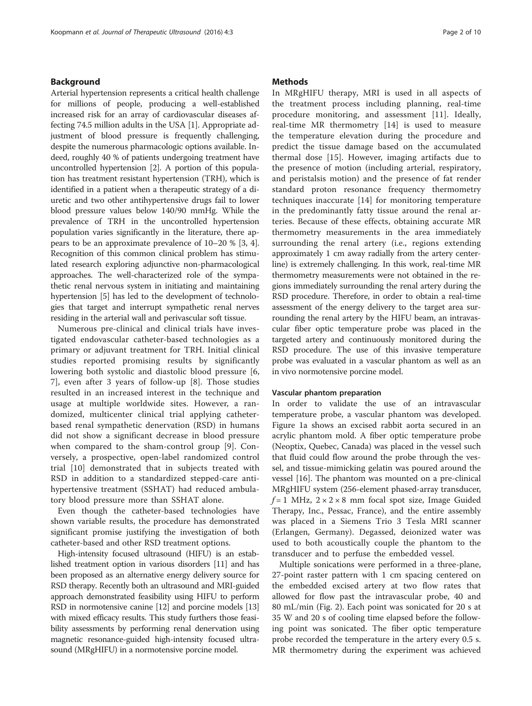# Background

Arterial hypertension represents a critical health challenge for millions of people, producing a well-established increased risk for an array of cardiovascular diseases affecting 74.5 million adults in the USA [[1](#page-8-0)]. Appropriate adjustment of blood pressure is frequently challenging, despite the numerous pharmacologic options available. Indeed, roughly 40 % of patients undergoing treatment have uncontrolled hypertension [[2\]](#page-8-0). A portion of this population has treatment resistant hypertension (TRH), which is identified in a patient when a therapeutic strategy of a diuretic and two other antihypertensive drugs fail to lower blood pressure values below 140/90 mmHg. While the prevalence of TRH in the uncontrolled hypertension population varies significantly in the literature, there appears to be an approximate prevalence of 10–20 % [\[3](#page-8-0), [4](#page-8-0)]. Recognition of this common clinical problem has stimulated research exploring adjunctive non-pharmacological approaches. The well-characterized role of the sympathetic renal nervous system in initiating and maintaining hypertension [\[5\]](#page-8-0) has led to the development of technologies that target and interrupt sympathetic renal nerves residing in the arterial wall and perivascular soft tissue.

Numerous pre-clinical and clinical trials have investigated endovascular catheter-based technologies as a primary or adjuvant treatment for TRH. Initial clinical studies reported promising results by significantly lowering both systolic and diastolic blood pressure [\[6](#page-8-0), [7\]](#page--1-0), even after 3 years of follow-up [\[8](#page--1-0)]. Those studies resulted in an increased interest in the technique and usage at multiple worldwide sites. However, a randomized, multicenter clinical trial applying catheterbased renal sympathetic denervation (RSD) in humans did not show a significant decrease in blood pressure when compared to the sham-control group [\[9](#page--1-0)]. Conversely, a prospective, open-label randomized control trial [\[10](#page--1-0)] demonstrated that in subjects treated with RSD in addition to a standardized stepped-care antihypertensive treatment (SSHAT) had reduced ambulatory blood pressure more than SSHAT alone.

Even though the catheter-based technologies have shown variable results, the procedure has demonstrated significant promise justifying the investigation of both catheter-based and other RSD treatment options.

High-intensity focused ultrasound (HIFU) is an established treatment option in various disorders [\[11\]](#page--1-0) and has been proposed as an alternative energy delivery source for RSD therapy. Recently both an ultrasound and MRI-guided approach demonstrated feasibility using HIFU to perform RSD in normotensive canine [\[12\]](#page--1-0) and porcine models [\[13](#page--1-0)] with mixed efficacy results. This study furthers those feasibility assessments by performing renal denervation using magnetic resonance-guided high-intensity focused ultrasound (MRgHIFU) in a normotensive porcine model.

# Methods

In MRgHIFU therapy, MRI is used in all aspects of the treatment process including planning, real-time procedure monitoring, and assessment [[11](#page--1-0)]. Ideally, real-time MR thermometry [\[14](#page--1-0)] is used to measure the temperature elevation during the procedure and predict the tissue damage based on the accumulated thermal dose [\[15](#page--1-0)]. However, imaging artifacts due to the presence of motion (including arterial, respiratory, and peristalsis motion) and the presence of fat render standard proton resonance frequency thermometry techniques inaccurate [[14\]](#page--1-0) for monitoring temperature in the predominantly fatty tissue around the renal arteries. Because of these effects, obtaining accurate MR thermometry measurements in the area immediately surrounding the renal artery (i.e., regions extending approximately 1 cm away radially from the artery centerline) is extremely challenging. In this work, real-time MR thermometry measurements were not obtained in the regions immediately surrounding the renal artery during the RSD procedure. Therefore, in order to obtain a real-time assessment of the energy delivery to the target area surrounding the renal artery by the HIFU beam, an intravascular fiber optic temperature probe was placed in the targeted artery and continuously monitored during the RSD procedure. The use of this invasive temperature probe was evaluated in a vascular phantom as well as an in vivo normotensive porcine model.

## Vascular phantom preparation

In order to validate the use of an intravascular temperature probe, a vascular phantom was developed. Figure [1a](#page-2-0) shows an excised rabbit aorta secured in an acrylic phantom mold. A fiber optic temperature probe (Neoptix, Quebec, Canada) was placed in the vessel such that fluid could flow around the probe through the vessel, and tissue-mimicking gelatin was poured around the vessel [[16](#page--1-0)]. The phantom was mounted on a pre-clinical MRgHIFU system (256-element phased-array transducer,  $f = 1$  MHz,  $2 \times 2 \times 8$  mm focal spot size, Image Guided Therapy, Inc., Pessac, France), and the entire assembly was placed in a Siemens Trio 3 Tesla MRI scanner (Erlangen, Germany). Degassed, deionized water was used to both acoustically couple the phantom to the transducer and to perfuse the embedded vessel.

Multiple sonications were performed in a three-plane, 27-point raster pattern with 1 cm spacing centered on the embedded excised artery at two flow rates that allowed for flow past the intravascular probe, 40 and 80 mL/min (Fig. [2](#page-2-0)). Each point was sonicated for 20 s at 35 W and 20 s of cooling time elapsed before the following point was sonicated. The fiber optic temperature probe recorded the temperature in the artery every 0.5 s. MR thermometry during the experiment was achieved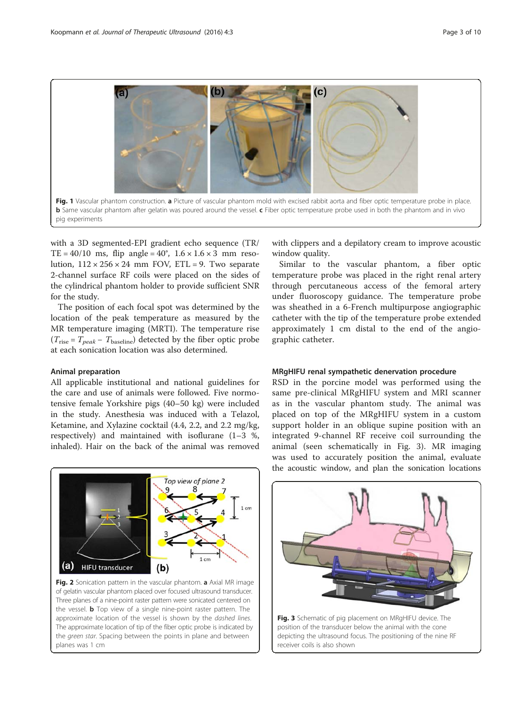<span id="page-2-0"></span>

with a 3D segmented-EPI gradient echo sequence (TR/ TE =  $40/10$  ms, flip angle =  $40^{\circ}$ ,  $1.6 \times 1.6 \times 3$  mm resolution,  $112 \times 256 \times 24$  mm FOV, ETL = 9. Two separate 2-channel surface RF coils were placed on the sides of the cylindrical phantom holder to provide sufficient SNR for the study.

The position of each focal spot was determined by the location of the peak temperature as measured by the MR temperature imaging (MRTI). The temperature rise  $(T_{\text{rise}} = T_{\text{peak}} - T_{\text{baseline}})$  detected by the fiber optic probe at each sonication location was also determined.

# Animal preparation

All applicable institutional and national guidelines for the care and use of animals were followed. Five normotensive female Yorkshire pigs (40–50 kg) were included in the study. Anesthesia was induced with a Telazol, Ketamine, and Xylazine cocktail (4.4, 2.2, and 2.2 mg/kg, respectively) and maintained with isoflurane (1–3 %, inhaled). Hair on the back of the animal was removed



Fig. 2 Sonication pattern in the vascular phantom. a Axial MR image of gelatin vascular phantom placed over focused ultrasound transducer. Three planes of a nine-point raster pattern were sonicated centered on the vessel. **b** Top view of a single nine-point raster pattern. The approximate location of the vessel is shown by the *dashed lines*. The approximate location of tip of the fiber optic probe is indicated by the *green star*. Spacing between the points in plane and between planes was 1 cm

with clippers and a depilatory cream to improve acoustic window quality.

Similar to the vascular phantom, a fiber optic temperature probe was placed in the right renal artery through percutaneous access of the femoral artery under fluoroscopy guidance. The temperature probe was sheathed in a 6-French multipurpose angiographic catheter with the tip of the temperature probe extended approximately 1 cm distal to the end of the angiographic catheter.

# MRgHIFU renal sympathetic denervation procedure

RSD in the porcine model was performed using the same pre-clinical MRgHIFU system and MRI scanner as in the vascular phantom study. The animal was placed on top of the MRgHIFU system in a custom support holder in an oblique supine position with an integrated 9-channel RF receive coil surrounding the animal (seen schematically in Fig. 3). MR imaging was used to accurately position the animal, evaluate the acoustic window, and plan the sonication locations



Fig. 3 Schematic of pig placement on MRgHIFU device. The position of the transducer below the animal with the cone depicting the ultrasound focus. The positioning of the nine RF receiver coils is also shown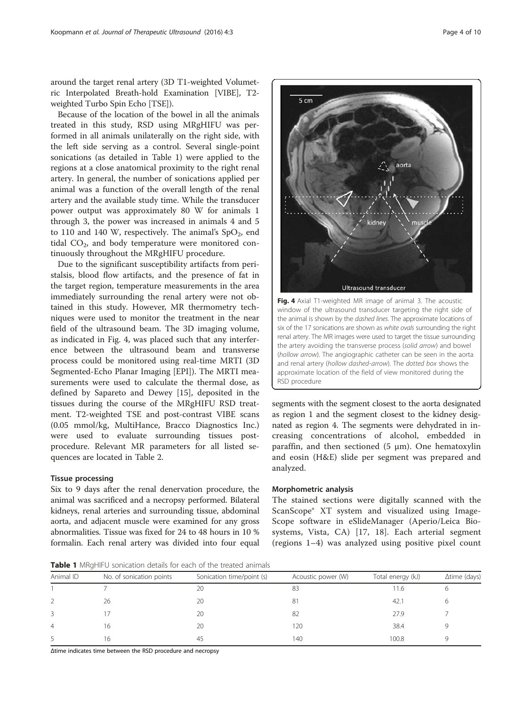<span id="page-3-0"></span>around the target renal artery (3D T1-weighted Volumetric Interpolated Breath-hold Examination [VIBE], T2 weighted Turbo Spin Echo [TSE]).

Because of the location of the bowel in all the animals treated in this study, RSD using MRgHIFU was performed in all animals unilaterally on the right side, with the left side serving as a control. Several single-point sonications (as detailed in Table 1) were applied to the regions at a close anatomical proximity to the right renal artery. In general, the number of sonications applied per animal was a function of the overall length of the renal artery and the available study time. While the transducer power output was approximately 80 W for animals 1 through 3, the power was increased in animals 4 and 5 to 110 and 140 W, respectively. The animal's  $SpO<sub>2</sub>$ , end tidal  $CO<sub>2</sub>$ , and body temperature were monitored continuously throughout the MRgHIFU procedure.

Due to the significant susceptibility artifacts from peristalsis, blood flow artifacts, and the presence of fat in the target region, temperature measurements in the area immediately surrounding the renal artery were not obtained in this study. However, MR thermometry techniques were used to monitor the treatment in the near field of the ultrasound beam. The 3D imaging volume, as indicated in Fig. 4, was placed such that any interference between the ultrasound beam and transverse process could be monitored using real-time MRTI (3D Segmented-Echo Planar Imaging [EPI]). The MRTI measurements were used to calculate the thermal dose, as defined by Sapareto and Dewey [\[15\]](#page--1-0), deposited in the tissues during the course of the MRgHIFU RSD treatment. T2-weighted TSE and post-contrast VIBE scans (0.05 mmol/kg, MultiHance, Bracco Diagnostics Inc.) were used to evaluate surrounding tissues postprocedure. Relevant MR parameters for all listed sequences are located in Table [2.](#page-4-0)

# Tissue processing

Six to 9 days after the renal denervation procedure, the animal was sacrificed and a necropsy performed. Bilateral kidneys, renal arteries and surrounding tissue, abdominal aorta, and adjacent muscle were examined for any gross abnormalities. Tissue was fixed for 24 to 48 hours in 10 % formalin. Each renal artery was divided into four equal

Table 1 MRgHIFU sonication details for each of the treated animals

| Animal ID | No. of sonication points | Sonication time/point (s) | Acoustic power (W) | Total energy (kJ) | ∆time (days) |  |  |  |  |
|-----------|--------------------------|---------------------------|--------------------|-------------------|--------------|--|--|--|--|
|           |                          | 20                        | 83                 | 1.6               |              |  |  |  |  |
|           | 26                       | 20                        | 81                 | 42.1              |              |  |  |  |  |
|           |                          | 20                        | 82                 | 27.9              |              |  |  |  |  |
| 4         | 16                       | 20                        | 120                | 38.4              |              |  |  |  |  |
|           | 16                       | 45                        | 140                | 100.8             |              |  |  |  |  |

analyzed.

RSD procedure

Morphometric analysis

Δtime indicates time between the RSD procedure and necropsy



segments with the segment closest to the aorta designated as region 1 and the segment closest to the kidney designated as region 4. The segments were dehydrated in increasing concentrations of alcohol, embedded in paraffin, and then sectioned  $(5 \mu m)$ . One hematoxylin and eosin (H&E) slide per segment was prepared and

and renal artery (hollow dashed-arrow). The dotted box shows the approximate location of the field of view monitored during the

The stained sections were digitally scanned with the ScanScope® XT system and visualized using Image-Scope software in eSlideManager (Aperio/Leica Biosystems, Vista, CA) [[17, 18](#page--1-0)]. Each arterial segment (regions 1–4) was analyzed using positive pixel count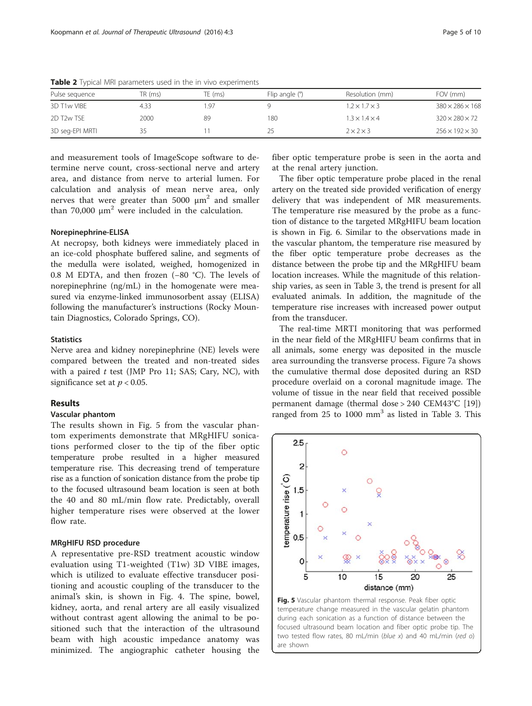| Pulse sequence  | TR (ms) | TE (ms) | Flip angle $(°)$ | Resolution (mm)           | FOV (mm)                    |
|-----------------|---------|---------|------------------|---------------------------|-----------------------------|
| 3D T1w VIBE     | 4.33    | . 97    |                  | $1.2 \times 1.7 \times 3$ | $380 \times 286 \times 168$ |
| 2D T2w TSE      | 2000    | 89      | 180              | $1.3 \times 1.4 \times 4$ | $320 \times 280 \times 72$  |
| 3D seq-EPI MRTI | 35      |         | 25               | $2 \times 2 \times 3$     | $256 \times 192 \times 30$  |

<span id="page-4-0"></span>Table 2 Typical MRI parameters used in the in vivo experiments

and measurement tools of ImageScope software to determine nerve count, cross-sectional nerve and artery area, and distance from nerve to arterial lumen. For calculation and analysis of mean nerve area, only nerves that were greater than 5000  $\mu$ m<sup>2</sup> and smaller than 70,000  $μm²$  were included in the calculation.

# Norepinephrine-ELISA

At necropsy, both kidneys were immediately placed in an ice-cold phosphate buffered saline, and segments of the medulla were isolated, weighed, homogenized in 0.8 M EDTA, and then frozen (−80 °C). The levels of norepinephrine (ng/mL) in the homogenate were measured via enzyme-linked immunosorbent assay (ELISA) following the manufacturer's instructions (Rocky Mountain Diagnostics, Colorado Springs, CO).

# **Statistics**

Nerve area and kidney norepinephrine (NE) levels were compared between the treated and non-treated sides with a paired  $t$  test (JMP Pro 11; SAS; Cary, NC), with significance set at  $p < 0.05$ .

# Results

# Vascular phantom

The results shown in Fig. 5 from the vascular phantom experiments demonstrate that MRgHIFU sonications performed closer to the tip of the fiber optic temperature probe resulted in a higher measured temperature rise. This decreasing trend of temperature rise as a function of sonication distance from the probe tip to the focused ultrasound beam location is seen at both the 40 and 80 mL/min flow rate. Predictably, overall higher temperature rises were observed at the lower flow rate.

# MRgHIFU RSD procedure

A representative pre-RSD treatment acoustic window evaluation using T1-weighted (T1w) 3D VIBE images, which is utilized to evaluate effective transducer positioning and acoustic coupling of the transducer to the animal's skin, is shown in Fig. [4](#page-3-0). The spine, bowel, kidney, aorta, and renal artery are all easily visualized without contrast agent allowing the animal to be positioned such that the interaction of the ultrasound beam with high acoustic impedance anatomy was minimized. The angiographic catheter housing the

fiber optic temperature probe is seen in the aorta and at the renal artery junction.

The fiber optic temperature probe placed in the renal artery on the treated side provided verification of energy delivery that was independent of MR measurements. The temperature rise measured by the probe as a function of distance to the targeted MRgHIFU beam location is shown in Fig. [6.](#page-5-0) Similar to the observations made in the vascular phantom, the temperature rise measured by the fiber optic temperature probe decreases as the distance between the probe tip and the MRgHIFU beam location increases. While the magnitude of this relationship varies, as seen in Table [3](#page-5-0), the trend is present for all evaluated animals. In addition, the magnitude of the temperature rise increases with increased power output from the transducer.

The real-time MRTI monitoring that was performed in the near field of the MRgHIFU beam confirms that in all animals, some energy was deposited in the muscle area surrounding the transverse process. Figure [7a](#page-5-0) shows the cumulative thermal dose deposited during an RSD procedure overlaid on a coronal magnitude image. The volume of tissue in the near field that received possible permanent damage (thermal dose > 240 CEM43°C [\[19](#page--1-0)]) ranged from 25 to 1000 mm<sup>3</sup> as listed in Table [3](#page-5-0). This



Fig. 5 Vascular phantom thermal response. Peak fiber optic temperature change measured in the vascular gelatin phantom during each sonication as a function of distance between the focused ultrasound beam location and fiber optic probe tip. The two tested flow rates, 80 mL/min (blue x) and 40 mL/min (red o) are shown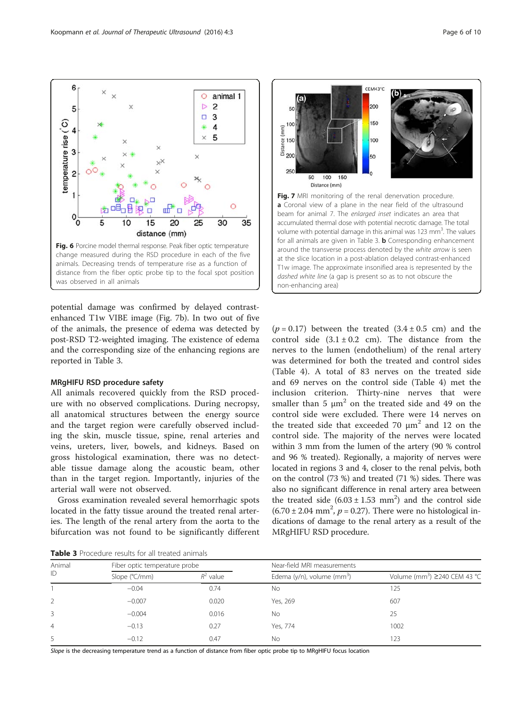<span id="page-5-0"></span>

potential damage was confirmed by delayed contrastenhanced T1w VIBE image (Fig. 7b). In two out of five of the animals, the presence of edema was detected by post-RSD T2-weighted imaging. The existence of edema and the corresponding size of the enhancing regions are reported in Table 3.

# MRgHIFU RSD procedure safety

All animals recovered quickly from the RSD procedure with no observed complications. During necropsy, all anatomical structures between the energy source and the target region were carefully observed including the skin, muscle tissue, spine, renal arteries and veins, ureters, liver, bowels, and kidneys. Based on gross histological examination, there was no detectable tissue damage along the acoustic beam, other than in the target region. Importantly, injuries of the arterial wall were not observed.

Gross examination revealed several hemorrhagic spots located in the fatty tissue around the treated renal arteries. The length of the renal artery from the aorta to the bifurcation was not found to be significantly different



CEM43°C

 $(p = 0.17)$  between the treated  $(3.4 \pm 0.5 \text{ cm})$  and the control side  $(3.1 \pm 0.2 \text{ cm})$ . The distance from the nerves to the lumen (endothelium) of the renal artery was determined for both the treated and control sides (Table [4](#page-6-0)). A total of 83 nerves on the treated side and 69 nerves on the control side (Table [4\)](#page-6-0) met the inclusion criterion. Thirty-nine nerves that were smaller than 5  $\mu$ m<sup>2</sup> on the treated side and 49 on the control side were excluded. There were 14 nerves on the treated side that exceeded 70  $\mu$ m<sup>2</sup> and 12 on the control side. The majority of the nerves were located within 3 mm from the lumen of the artery (90 % control and 96 % treated). Regionally, a majority of nerves were located in regions 3 and 4, closer to the renal pelvis, both on the control (73 %) and treated (71 %) sides. There was also no significant difference in renal artery area between the treated side  $(6.03 \pm 1.53 \text{ mm}^2)$  and the control side  $(6.70 \pm 2.04 \text{ mm}^2, p = 0.27)$ . There were no histological indications of damage to the renal artery as a result of the MRgHIFU RSD procedure.

Table 3 Procedure results for all treated animals

| Animal<br>ID   | Fiber optic temperature probe |             | Near-field MRI measurements            |                                                |  |  |
|----------------|-------------------------------|-------------|----------------------------------------|------------------------------------------------|--|--|
|                | Slope (°C/mm)                 | $R^2$ value | Edema (y/n), volume (mm <sup>3</sup> ) | Volume (mm <sup>3</sup> ) $\geq$ 240 CEM 43 °C |  |  |
|                | $-0.04$                       | 0.74        | No                                     | 125                                            |  |  |
| $\mathcal{L}$  | $-0.007$                      | 0.020       | Yes, 269                               | 607                                            |  |  |
| 3              | $-0.004$                      | 0.016       | No.                                    | 25                                             |  |  |
| $\overline{4}$ | $-0.13$                       | 0.27        | Yes, 774                               | 1002                                           |  |  |
| 5              | $-0.12$                       | 0.47        | No.                                    | 123                                            |  |  |

Slope is the decreasing temperature trend as a function of distance from fiber optic probe tip to MRgHIFU focus location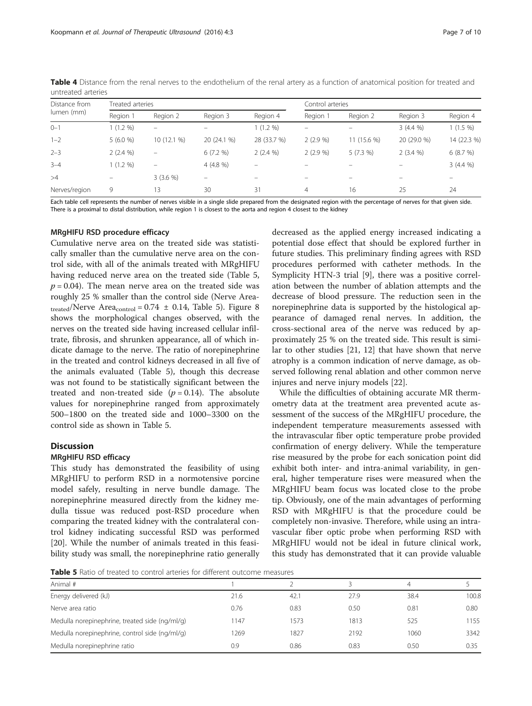| Distance from<br>lumen (mm) | Treated arteries |             |             |             | Control arteries |             |             |             |
|-----------------------------|------------------|-------------|-------------|-------------|------------------|-------------|-------------|-------------|
|                             | Region 1         | Region 2    | Region 3    | Region 4    | Region 1         | Region 2    | Region 3    | Region 4    |
| $0 - 1$                     | (1.2 %)          | $-$         |             | (1.2 %)     |                  |             | $3(4.4\%)$  | $(1.5 \%)$  |
| $1 - 2$                     | 5(6.0%           | 10 (12.1 %) | 20 (24.1 %) | 28 (33.7 %) | 2(2.9%           | 11 (15.6 %) | 20 (29.0 %) | 14 (22.3 %) |
| $2 - 3$                     | $2(2.4\%)$       | -           | 6(7.2%      | 2(2.4%      | $2(2.9\%)$       | $5(7.3\%)$  | $2(3.4\%)$  | 6(8.7%)     |
| $3 - 4$                     | (1.2 %)          | $\equiv$    | $4(4.8\%)$  |             |                  |             |             | $3(4.4\%)$  |
| >4                          |                  | $3(3.6\%)$  |             |             |                  |             |             |             |
| Nerves/region               | 9                | 13          | 30          | 31          | $\overline{4}$   | 16          | 25          | 24          |

<span id="page-6-0"></span>Table 4 Distance from the renal nerves to the endothelium of the renal artery as a function of anatomical position for treated and untreated arteries

Each table cell represents the number of nerves visible in a single slide prepared from the designated region with the percentage of nerves for that given side. There is a proximal to distal distribution, while region 1 is closest to the aorta and region 4 closest to the kidney

# MRgHIFU RSD procedure efficacy

Cumulative nerve area on the treated side was statistically smaller than the cumulative nerve area on the control side, with all of the animals treated with MRgHIFU having reduced nerve area on the treated side (Table 5,  $p = 0.04$ ). The mean nerve area on the treated side was roughly 25 % smaller than the control side (Nerve Areatreated/Nerve Area<sub>control</sub> = 0.74  $\pm$  0.14, Table 5). Figure [8](#page-7-0) shows the morphological changes observed, with the nerves on the treated side having increased cellular infiltrate, fibrosis, and shrunken appearance, all of which indicate damage to the nerve. The ratio of norepinephrine in the treated and control kidneys decreased in all five of the animals evaluated (Table 5), though this decrease was not found to be statistically significant between the treated and non-treated side  $(p = 0.14)$ . The absolute values for norepinephrine ranged from approximately 500–1800 on the treated side and 1000–3300 on the control side as shown in Table 5.

# **Discussion**

# MRgHIFU RSD efficacy

This study has demonstrated the feasibility of using MRgHIFU to perform RSD in a normotensive porcine model safely, resulting in nerve bundle damage. The norepinephrine measured directly from the kidney medulla tissue was reduced post-RSD procedure when comparing the treated kidney with the contralateral control kidney indicating successful RSD was performed [[20\]](#page--1-0). While the number of animals treated in this feasibility study was small, the norepinephrine ratio generally

decreased as the applied energy increased indicating a potential dose effect that should be explored further in future studies. This preliminary finding agrees with RSD procedures performed with catheter methods. In the Symplicity HTN-3 trial [[9\]](#page--1-0), there was a positive correlation between the number of ablation attempts and the decrease of blood pressure. The reduction seen in the norepinephrine data is supported by the histological appearance of damaged renal nerves. In addition, the cross-sectional area of the nerve was reduced by approximately 25 % on the treated side. This result is similar to other studies [[21](#page--1-0), [12](#page--1-0)] that have shown that nerve atrophy is a common indication of nerve damage, as observed following renal ablation and other common nerve injures and nerve injury models [\[22\]](#page--1-0).

While the difficulties of obtaining accurate MR thermometry data at the treatment area prevented acute assessment of the success of the MRgHIFU procedure, the independent temperature measurements assessed with the intravascular fiber optic temperature probe provided confirmation of energy delivery. While the temperature rise measured by the probe for each sonication point did exhibit both inter- and intra-animal variability, in general, higher temperature rises were measured when the MRgHIFU beam focus was located close to the probe tip. Obviously, one of the main advantages of performing RSD with MRgHIFU is that the procedure could be completely non-invasive. Therefore, while using an intravascular fiber optic probe when performing RSD with MRgHIFU would not be ideal in future clinical work, this study has demonstrated that it can provide valuable

**Table 5** Ratio of treated to control arteries for different outcome measures

| Animal #                                       |      |      |      |      |       |
|------------------------------------------------|------|------|------|------|-------|
| Energy delivered (kJ)                          | 21.6 | 42.1 | 27.9 | 38.4 | 100.8 |
| Nerve area ratio                               | 0.76 | 0.83 | 0.50 | 0.81 | 0.80  |
| Medulla norepinephrine, treated side (ng/ml/g) | 147  | 1573 | 1813 | 525  | 1155  |
| Medulla norepinephrine, control side (ng/ml/g) | 1269 | 1827 | 2192 | 1060 | 3342  |
| Medulla norepinephrine ratio                   | 0.9  | 0.86 | 0.83 | 0.50 | 0.35  |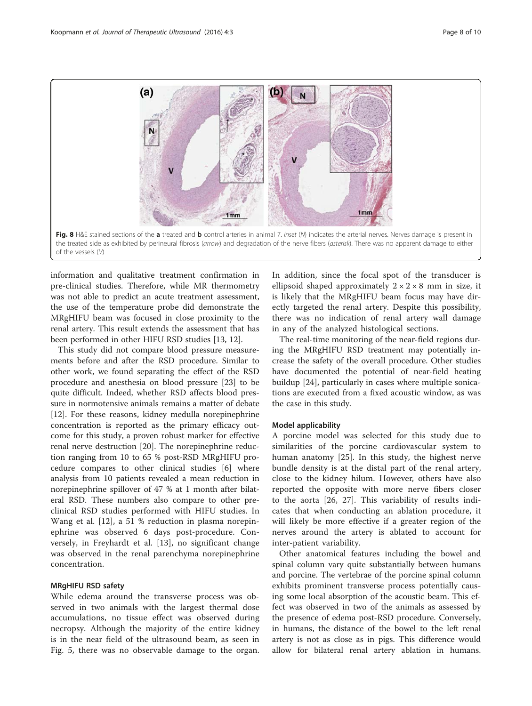<span id="page-7-0"></span>

information and qualitative treatment confirmation in pre-clinical studies. Therefore, while MR thermometry was not able to predict an acute treatment assessment, the use of the temperature probe did demonstrate the MRgHIFU beam was focused in close proximity to the renal artery. This result extends the assessment that has been performed in other HIFU RSD studies [[13, 12\]](#page--1-0).

This study did not compare blood pressure measurements before and after the RSD procedure. Similar to other work, we found separating the effect of the RSD procedure and anesthesia on blood pressure [\[23](#page--1-0)] to be quite difficult. Indeed, whether RSD affects blood pressure in normotensive animals remains a matter of debate [[12\]](#page--1-0). For these reasons, kidney medulla norepinephrine concentration is reported as the primary efficacy outcome for this study, a proven robust marker for effective renal nerve destruction [[20](#page--1-0)]. The norepinephrine reduction ranging from 10 to 65 % post-RSD MRgHIFU procedure compares to other clinical studies [\[6](#page-8-0)] where analysis from 10 patients revealed a mean reduction in norepinephrine spillover of 47 % at 1 month after bilateral RSD. These numbers also compare to other preclinical RSD studies performed with HIFU studies. In Wang et al. [\[12](#page--1-0)], a 51 % reduction in plasma norepinephrine was observed 6 days post-procedure. Conversely, in Freyhardt et al. [[13\]](#page--1-0), no significant change was observed in the renal parenchyma norepinephrine concentration.

# MRgHIFU RSD safety

While edema around the transverse process was observed in two animals with the largest thermal dose accumulations, no tissue effect was observed during necropsy. Although the majority of the entire kidney is in the near field of the ultrasound beam, as seen in Fig. [5](#page-4-0), there was no observable damage to the organ.

In addition, since the focal spot of the transducer is ellipsoid shaped approximately  $2 \times 2 \times 8$  mm in size, it is likely that the MRgHIFU beam focus may have directly targeted the renal artery. Despite this possibility, there was no indication of renal artery wall damage in any of the analyzed histological sections.

The real-time monitoring of the near-field regions during the MRgHIFU RSD treatment may potentially increase the safety of the overall procedure. Other studies have documented the potential of near-field heating buildup [\[24](#page--1-0)], particularly in cases where multiple sonications are executed from a fixed acoustic window, as was the case in this study.

# Model applicability

A porcine model was selected for this study due to similarities of the porcine cardiovascular system to human anatomy [[25\]](#page--1-0). In this study, the highest nerve bundle density is at the distal part of the renal artery, close to the kidney hilum. However, others have also reported the opposite with more nerve fibers closer to the aorta [[26](#page--1-0), [27](#page--1-0)]. This variability of results indicates that when conducting an ablation procedure, it will likely be more effective if a greater region of the nerves around the artery is ablated to account for inter-patient variability.

Other anatomical features including the bowel and spinal column vary quite substantially between humans and porcine. The vertebrae of the porcine spinal column exhibits prominent transverse process potentially causing some local absorption of the acoustic beam. This effect was observed in two of the animals as assessed by the presence of edema post-RSD procedure. Conversely, in humans, the distance of the bowel to the left renal artery is not as close as in pigs. This difference would allow for bilateral renal artery ablation in humans.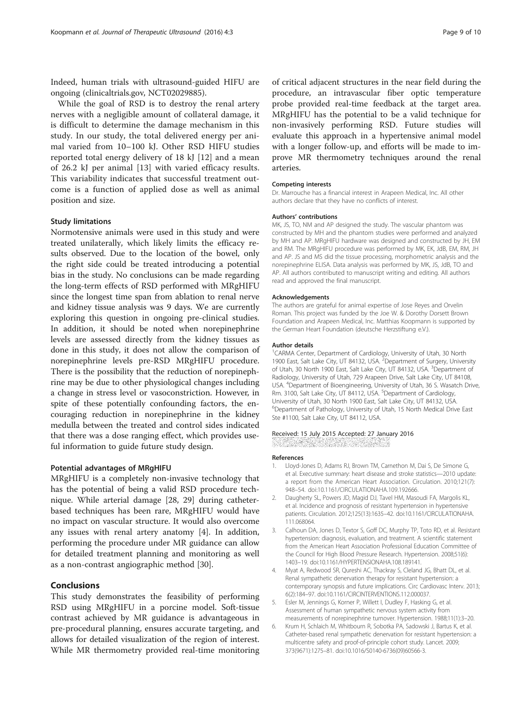<span id="page-8-0"></span>Indeed, human trials with ultrasound-guided HIFU are ongoing (clinicaltrials.gov, NCT02029885).

While the goal of RSD is to destroy the renal artery nerves with a negligible amount of collateral damage, it is difficult to determine the damage mechanism in this study. In our study, the total delivered energy per animal varied from 10–100 kJ. Other RSD HIFU studies reported total energy delivery of 18 kJ [[12\]](#page--1-0) and a mean of 26.2 kJ per animal [\[13](#page--1-0)] with varied efficacy results. This variability indicates that successful treatment outcome is a function of applied dose as well as animal position and size.

# Study limitations

Normotensive animals were used in this study and were treated unilaterally, which likely limits the efficacy results observed. Due to the location of the bowel, only the right side could be treated introducing a potential bias in the study. No conclusions can be made regarding the long-term effects of RSD performed with MRgHIFU since the longest time span from ablation to renal nerve and kidney tissue analysis was 9 days. We are currently exploring this question in ongoing pre-clinical studies. In addition, it should be noted when norepinephrine levels are assessed directly from the kidney tissues as done in this study, it does not allow the comparison of norepinephrine levels pre-RSD MRgHIFU procedure. There is the possibility that the reduction of norepinephrine may be due to other physiological changes including a change in stress level or vasoconstriction. However, in spite of these potentially confounding factors, the encouraging reduction in norepinephrine in the kidney medulla between the treated and control sides indicated that there was a dose ranging effect, which provides useful information to guide future study design.

# Potential advantages of MRgHIFU

MRgHIFU is a completely non-invasive technology that has the potential of being a valid RSD procedure technique. While arterial damage [\[28](#page--1-0), [29\]](#page--1-0) during catheterbased techniques has been rare, MRgHIFU would have no impact on vascular structure. It would also overcome any issues with renal artery anatomy [4]. In addition, performing the procedure under MR guidance can allow for detailed treatment planning and monitoring as well as a non-contrast angiographic method [[30\]](#page--1-0).

# Conclusions

This study demonstrates the feasibility of performing RSD using MRgHIFU in a porcine model. Soft-tissue contrast achieved by MR guidance is advantageous in pre-procedural planning, ensures accurate targeting, and allows for detailed visualization of the region of interest. While MR thermometry provided real-time monitoring

of critical adjacent structures in the near field during the procedure, an intravascular fiber optic temperature probe provided real-time feedback at the target area. MRgHIFU has the potential to be a valid technique for non-invasively performing RSD. Future studies will evaluate this approach in a hypertensive animal model with a longer follow-up, and efforts will be made to improve MR thermometry techniques around the renal arteries.

# Competing interests

Dr. Marrouche has a financial interest in Arapeen Medical, Inc. All other authors declare that they have no conflicts of interest.

#### Authors' contributions

MK, JS, TO, NM and AP designed the study. The vascular phantom was constructed by MH and the phantom studies were performed and analyzed by MH and AP. MRgHIFU hardware was designed and constructed by JH, EM and RM. The MRgHIFU procedure was performed by MK, EK, JdB, EM, RM, JH and AP. JS and MS did the tissue processing, morphometric analysis and the norepinephrine ELISA. Data analysis was performed by MK, JS, JdB, TO and AP. All authors contributed to manuscript writing and editing. All authors read and approved the final manuscript.

#### Acknowledgements

The authors are grateful for animal expertise of Jose Reyes and Orvelin Roman. This project was funded by the Joe W. & Dorothy Dorsett Brown Foundation and Arapeen Medical, Inc. Matthias Koopmann is supported by the German Heart Foundation (deutsche Herzstiftung e.V.).

### Author details

<sup>1</sup> CARMA Center, Department of Cardiology, University of Utah, 30 North 1900 East, Salt Lake City, UT 84132, USA.<sup>2</sup> Department of Surgery, University of Utah, 30 North 1900 East, Salt Lake City, UT 84132, USA. <sup>3</sup>Department of Radiology, University of Utah, 729 Arapeen Drive, Salt Lake City, UT 84108, USA. <sup>4</sup> Department of Bioengineering, University of Utah, 36 S. Wasatch Drive, Rm. 3100, Salt Lake City, UT 84112, USA. <sup>5</sup>Department of Cardiology, University of Utah, 30 North 1900 East, Salt Lake City, UT 84132, USA. <sup>6</sup>Department of Pathology, University of Utah, 15 North Medical Drive East Ste #1100, Salt Lake City, UT 84112, USA.

# Received: 15 July 2015 Accepted: 27 January 2016

#### References

- Lloyd-Jones D, Adams RJ, Brown TM, Carnethon M, Dai S, De Simone G, et al. Executive summary: heart disease and stroke statistics—2010 update: a report from the American Heart Association. Circulation. 2010;121(7): 948–54. doi:[10.1161/CIRCULATIONAHA.109.192666](http://dx.doi.org/10.1161/CIRCULATIONAHA.109.192666).
- 2. Daugherty SL, Powers JD, Magid DJ, Tavel HM, Masoudi FA, Margolis KL, et al. Incidence and prognosis of resistant hypertension in hypertensive patients. Circulation. 2012;125(13):1635–42. doi:[10.1161/CIRCULATIONAHA.](http://dx.doi.org/10.1161/CIRCULATIONAHA.111.068064) [111.068064.](http://dx.doi.org/10.1161/CIRCULATIONAHA.111.068064)
- 3. Calhoun DA, Jones D, Textor S, Goff DC, Murphy TP, Toto RD, et al. Resistant hypertension: diagnosis, evaluation, and treatment. A scientific statement from the American Heart Association Professional Education Committee of the Council for High Blood Pressure Research. Hypertension. 2008;51(6): 1403–19. doi[:10.1161/HYPERTENSIONAHA.108.189141.](http://dx.doi.org/10.1161/HYPERTENSIONAHA.108.189141)
- 4. Myat A, Redwood SR, Qureshi AC, Thackray S, Cleland JG, Bhatt DL, et al. Renal sympathetic denervation therapy for resistant hypertension: a contemporary synopsis and future implications. Circ Cardiovasc Interv. 2013; 6(2):184–97. doi:[10.1161/CIRCINTERVENTIONS.112.000037.](http://dx.doi.org/10.1161/CIRCINTERVENTIONS.112.000037)
- 5. Esler M, Jennings G, Korner P, Willett I, Dudley F, Hasking G, et al. Assessment of human sympathetic nervous system activity from measurements of norepinephrine turnover. Hypertension. 1988;11(1):3–20.
- 6. Krum H, Schlaich M, Whitbourn R, Sobotka PA, Sadowski J, Bartus K, et al. Catheter-based renal sympathetic denervation for resistant hypertension: a multicentre safety and proof-of-principle cohort study. Lancet. 2009; 373(9671):1275–81. doi[:10.1016/S0140-6736\(09\)60566-3](http://dx.doi.org/10.1016/S0140-6736(09)60566-3).